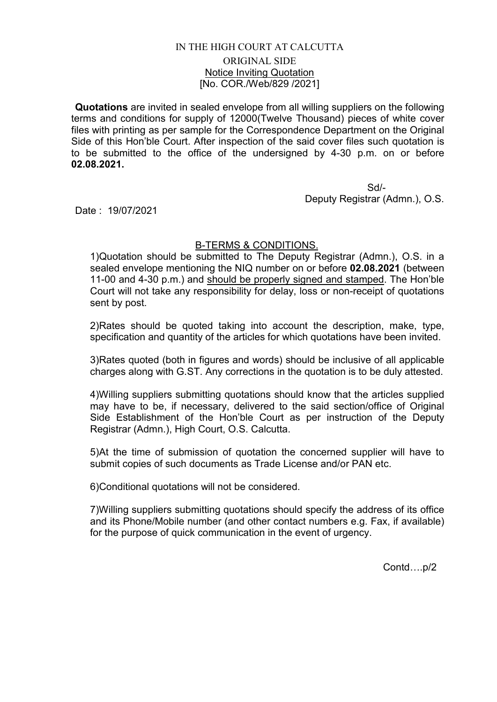## IN THE HIGH COURT AT CALCUTTA ORIGINAL SIDE Notice Inviting Quotation [No. COR./Web/829 /2021]

Quotations are invited in sealed envelope from all willing suppliers on the following terms and conditions for supply of 12000(Twelve Thousand) pieces of white cover files with printing as per sample for the Correspondence Department on the Original Side of this Hon'ble Court. After inspection of the said cover files such quotation is to be submitted to the office of the undersigned by 4-30 p.m. on or before 02.08.2021.

 Sd/- Deputy Registrar (Admn.), O.S.

Date : 19/07/2021

## B-TERMS & CONDITIONS.

1)Quotation should be submitted to The Deputy Registrar (Admn.), O.S. in a sealed envelope mentioning the NIQ number on or before 02.08.2021 (between 11-00 and 4-30 p.m.) and should be properly signed and stamped. The Hon'ble Court will not take any responsibility for delay, loss or non-receipt of quotations sent by post.

2)Rates should be quoted taking into account the description, make, type, specification and quantity of the articles for which quotations have been invited.

3)Rates quoted (both in figures and words) should be inclusive of all applicable charges along with G.ST. Any corrections in the quotation is to be duly attested.

4)Willing suppliers submitting quotations should know that the articles supplied may have to be, if necessary, delivered to the said section/office of Original Side Establishment of the Hon'ble Court as per instruction of the Deputy Registrar (Admn.), High Court, O.S. Calcutta.

5)At the time of submission of quotation the concerned supplier will have to submit copies of such documents as Trade License and/or PAN etc.

6)Conditional quotations will not be considered.

7)Willing suppliers submitting quotations should specify the address of its office and its Phone/Mobile number (and other contact numbers e.g. Fax, if available) for the purpose of quick communication in the event of urgency.

Contd….p/2